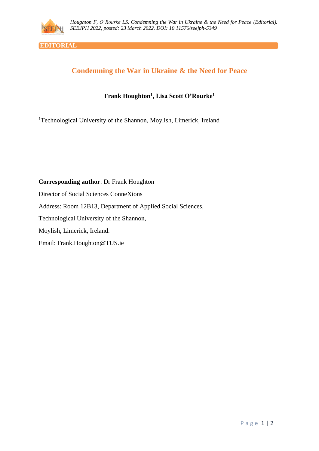

**EDITORIAL**

## **Condemning the War in Ukraine & the Need for Peace**

## **Frank Houghton<sup>1</sup> , Lisa Scott O'Rourke<sup>1</sup>**

<sup>1</sup>Technological University of the Shannon, Moylish, Limerick, Ireland

**Corresponding author**: Dr Frank Houghton Director of Social Sciences ConneXions Address: Room 12B13, Department of Applied Social Sciences, Technological University of the Shannon, Moylish, Limerick, Ireland. Email: Frank.Houghton@TUS.ie